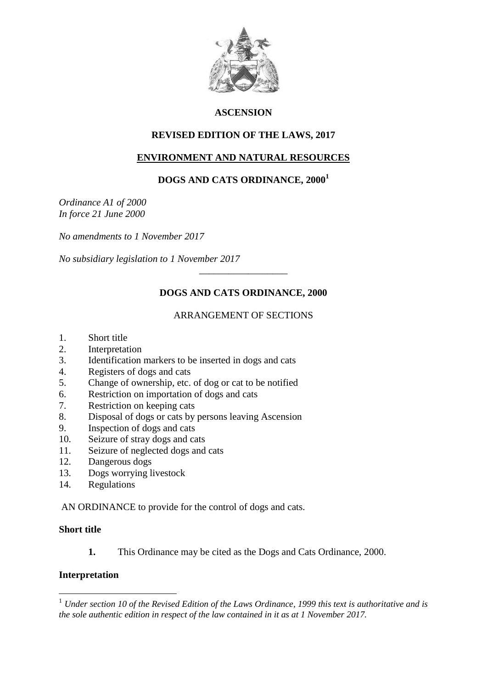

#### **ASCENSION**

#### **REVISED EDITION OF THE LAWS, 2017**

#### **ENVIRONMENT AND NATURAL RESOURCES**

# **DOGS AND CATS ORDINANCE, 2000<sup>1</sup>**

*Ordinance A1 of 2000 In force 21 June 2000*

*No amendments to 1 November 2017*

*No subsidiary legislation to 1 November 2017*

# **DOGS AND CATS ORDINANCE, 2000**

\_\_\_\_\_\_\_\_\_\_\_\_\_\_\_\_\_\_

# ARRANGEMENT OF SECTIONS

- 1. Short title
- 2. Interpretation
- 3. Identification markers to be inserted in dogs and cats
- 4. Registers of dogs and cats
- 5. Change of ownership, etc. of dog or cat to be notified
- 6. Restriction on importation of dogs and cats
- 7. Restriction on keeping cats
- 8. Disposal of dogs or cats by persons leaving Ascension
- 9. Inspection of dogs and cats
- 10. Seizure of stray dogs and cats
- 11. Seizure of neglected dogs and cats
- 12. Dangerous dogs
- 13. Dogs worrying livestock
- 14. Regulations

AN ORDINANCE to provide for the control of dogs and cats.

#### **Short title**

1

**1.** This Ordinance may be cited as the Dogs and Cats Ordinance, 2000.

#### **Interpretation**

<sup>1</sup> *Under section 10 of the Revised Edition of the Laws Ordinance, 1999 this text is authoritative and is the sole authentic edition in respect of the law contained in it as at 1 November 2017.*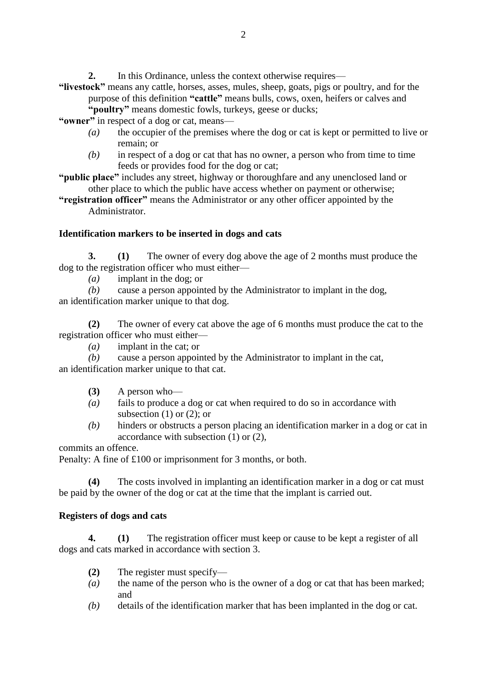**2.** In this Ordinance, unless the context otherwise requires—

**"livestock"** means any cattle, horses, asses, mules, sheep, goats, pigs or poultry, and for the purpose of this definition **"cattle"** means bulls, cows, oxen, heifers or calves and **"poultry"** means domestic fowls, turkeys, geese or ducks;

**"owner"** in respect of a dog or cat, means—

- *(a)* the occupier of the premises where the dog or cat is kept or permitted to live or remain; or
- *(b)* in respect of a dog or cat that has no owner, a person who from time to time feeds or provides food for the dog or cat;

**"public place"** includes any street, highway or thoroughfare and any unenclosed land or other place to which the public have access whether on payment or otherwise;

**"registration officer"** means the Administrator or any other officer appointed by the Administrator.

#### **Identification markers to be inserted in dogs and cats**

**3. (1)** The owner of every dog above the age of 2 months must produce the dog to the registration officer who must either—

*(a)* implant in the dog; or

*(b)* cause a person appointed by the Administrator to implant in the dog, an identification marker unique to that dog.

**(2)** The owner of every cat above the age of 6 months must produce the cat to the registration officer who must either—

*(a)* implant in the cat; or

*(b)* cause a person appointed by the Administrator to implant in the cat, an identification marker unique to that cat.

- **(3)** A person who—
- *(a)* fails to produce a dog or cat when required to do so in accordance with subsection  $(1)$  or  $(2)$ ; or
- *(b)* hinders or obstructs a person placing an identification marker in a dog or cat in accordance with subsection (1) or (2),

commits an offence.

Penalty: A fine of £100 or imprisonment for 3 months, or both.

**(4)** The costs involved in implanting an identification marker in a dog or cat must be paid by the owner of the dog or cat at the time that the implant is carried out.

#### **Registers of dogs and cats**

**4. (1)** The registration officer must keep or cause to be kept a register of all dogs and cats marked in accordance with section 3.

- **(2)** The register must specify—
- *(a)* the name of the person who is the owner of a dog or cat that has been marked; and
- *(b)* details of the identification marker that has been implanted in the dog or cat.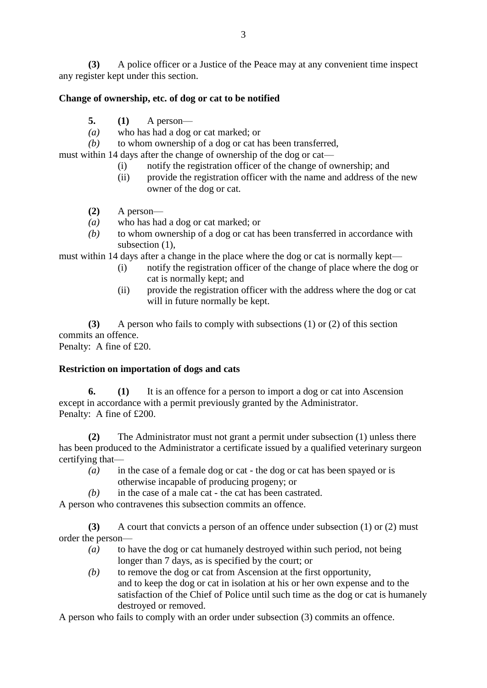**(3)** A police officer or a Justice of the Peace may at any convenient time inspect any register kept under this section.

# **Change of ownership, etc. of dog or cat to be notified**

- **5. (1)** A person—
- *(a)* who has had a dog or cat marked; or
- *(b)* to whom ownership of a dog or cat has been transferred,

must within 14 days after the change of ownership of the dog or cat—

- (i) notify the registration officer of the change of ownership; and
- (ii) provide the registration officer with the name and address of the new owner of the dog or cat.
- **(2)** A person—
- *(a)* who has had a dog or cat marked; or
- *(b)* to whom ownership of a dog or cat has been transferred in accordance with subsection  $(1)$ ,

must within 14 days after a change in the place where the dog or cat is normally kept—

- (i) notify the registration officer of the change of place where the dog or cat is normally kept; and
- (ii) provide the registration officer with the address where the dog or cat will in future normally be kept.

**(3)** A person who fails to comply with subsections (1) or (2) of this section commits an offence.

Penalty: A fine of £20.

# **Restriction on importation of dogs and cats**

**6. (1)** It is an offence for a person to import a dog or cat into Ascension except in accordance with a permit previously granted by the Administrator. Penalty: A fine of £200.

**(2)** The Administrator must not grant a permit under subsection (1) unless there has been produced to the Administrator a certificate issued by a qualified veterinary surgeon certifying that—

- *(a)* in the case of a female dog or cat the dog or cat has been spayed or is otherwise incapable of producing progeny; or
- *(b)* in the case of a male cat the cat has been castrated.

A person who contravenes this subsection commits an offence.

**(3)** A court that convicts a person of an offence under subsection (1) or (2) must order the person—

- *(a)* to have the dog or cat humanely destroyed within such period, not being longer than 7 days, as is specified by the court; or
- *(b)* to remove the dog or cat from Ascension at the first opportunity, and to keep the dog or cat in isolation at his or her own expense and to the satisfaction of the Chief of Police until such time as the dog or cat is humanely destroyed or removed.

A person who fails to comply with an order under subsection (3) commits an offence.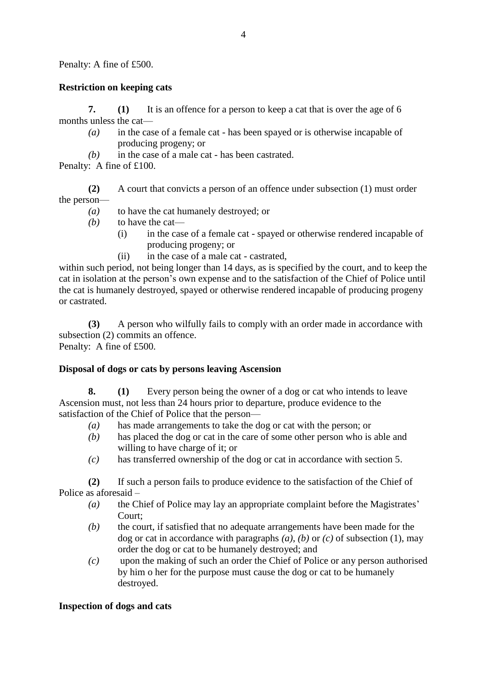Penalty: A fine of £500.

# **Restriction on keeping cats**

**7. (1)** It is an offence for a person to keep a cat that is over the age of 6 months unless the cat—

- *(a)* in the case of a female cat has been spayed or is otherwise incapable of producing progeny; or
- *(b)* in the case of a male cat has been castrated.
- Penalty: A fine of £100.

**(2)** A court that convicts a person of an offence under subsection (1) must order the person—

- *(a)* to have the cat humanely destroyed; or
- *(b)* to have the cat—
	- (i) in the case of a female cat spayed or otherwise rendered incapable of producing progeny; or
	- (ii) in the case of a male cat castrated,

within such period, not being longer than 14 days, as is specified by the court, and to keep the cat in isolation at the person's own expense and to the satisfaction of the Chief of Police until the cat is humanely destroyed, spayed or otherwise rendered incapable of producing progeny or castrated.

**(3)** A person who wilfully fails to comply with an order made in accordance with subsection (2) commits an offence. Penalty: A fine of £500.

# **Disposal of dogs or cats by persons leaving Ascension**

**8. (1)** Every person being the owner of a dog or cat who intends to leave Ascension must, not less than 24 hours prior to departure, produce evidence to the satisfaction of the Chief of Police that the person—

- *(a)* has made arrangements to take the dog or cat with the person; or
- *(b)* has placed the dog or cat in the care of some other person who is able and willing to have charge of it; or
- *(c)* has transferred ownership of the dog or cat in accordance with section 5.

**(2)** If such a person fails to produce evidence to the satisfaction of the Chief of Police as aforesaid –

- *(a)* the Chief of Police may lay an appropriate complaint before the Magistrates' Court;
- *(b)* the court, if satisfied that no adequate arrangements have been made for the dog or cat in accordance with paragraphs *(a)*, *(b)* or *(c)* of subsection (1), may order the dog or cat to be humanely destroyed; and
- *(c)* upon the making of such an order the Chief of Police or any person authorised by him o her for the purpose must cause the dog or cat to be humanely destroyed.

# **Inspection of dogs and cats**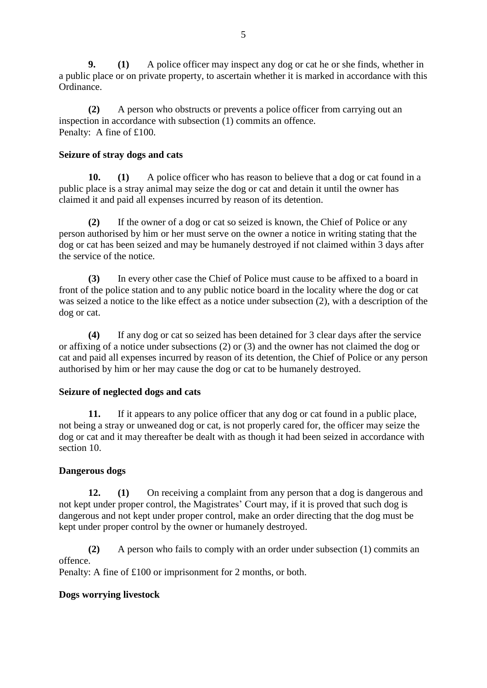**9. (1)** A police officer may inspect any dog or cat he or she finds, whether in a public place or on private property, to ascertain whether it is marked in accordance with this Ordinance.

**(2)** A person who obstructs or prevents a police officer from carrying out an inspection in accordance with subsection (1) commits an offence. Penalty: A fine of £100.

#### **Seizure of stray dogs and cats**

**10. (1)** A police officer who has reason to believe that a dog or cat found in a public place is a stray animal may seize the dog or cat and detain it until the owner has claimed it and paid all expenses incurred by reason of its detention.

**(2)** If the owner of a dog or cat so seized is known, the Chief of Police or any person authorised by him or her must serve on the owner a notice in writing stating that the dog or cat has been seized and may be humanely destroyed if not claimed within 3 days after the service of the notice.

**(3)** In every other case the Chief of Police must cause to be affixed to a board in front of the police station and to any public notice board in the locality where the dog or cat was seized a notice to the like effect as a notice under subsection (2), with a description of the dog or cat.

**(4)** If any dog or cat so seized has been detained for 3 clear days after the service or affixing of a notice under subsections (2) or (3) and the owner has not claimed the dog or cat and paid all expenses incurred by reason of its detention, the Chief of Police or any person authorised by him or her may cause the dog or cat to be humanely destroyed.

# **Seizure of neglected dogs and cats**

**11.** If it appears to any police officer that any dog or cat found in a public place, not being a stray or unweaned dog or cat, is not properly cared for, the officer may seize the dog or cat and it may thereafter be dealt with as though it had been seized in accordance with section 10.

#### **Dangerous dogs**

**12. (1)** On receiving a complaint from any person that a dog is dangerous and not kept under proper control, the Magistrates' Court may, if it is proved that such dog is dangerous and not kept under proper control, make an order directing that the dog must be kept under proper control by the owner or humanely destroyed.

**(2)** A person who fails to comply with an order under subsection (1) commits an offence.

Penalty: A fine of £100 or imprisonment for 2 months, or both.

# **Dogs worrying livestock**